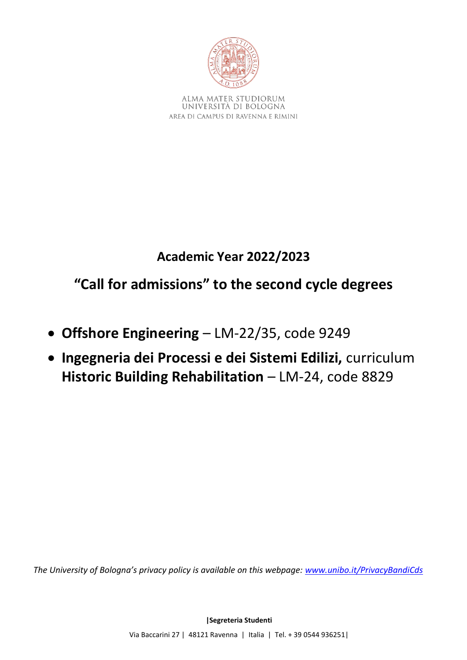

ALMA MATER STUDIORUM UNIVERSITÀ DI BOLOGNA AREA DI CAMPUS DI RAVENNA E RIMINI

# **Academic Year 2022/2023**

**"Call for admissions" to the second cycle degrees**

- **Offshore Engineering**  LM-22/35, code 9249
- **Ingegneria dei Processi e dei Sistemi Edilizi,** curriculum **Historic Building Rehabilitation** – LM-24, code 8829

*The University of Bologna's privacy policy is available on this webpage: [www.unibo.it/PrivacyBandiCds](http://www.unibo.it/PrivacyBandiCds)*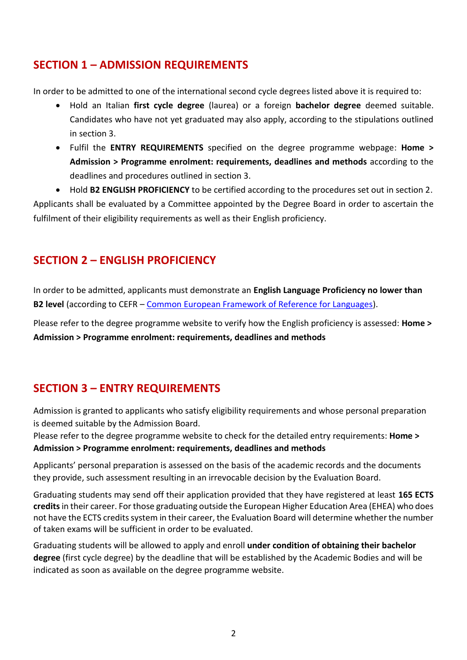### **SECTION 1 – ADMISSION REQUIREMENTS**

In order to be admitted to one of the international second cycle degrees listed above it is required to:

- Hold an Italian **first cycle degree** (laurea) or a foreign **bachelor degree** deemed suitable. Candidates who have not yet graduated may also apply, according to the stipulations outlined in section 3.
- Fulfil the **ENTRY REQUIREMENTS** specified on the degree programme webpage: **Home > Admission > Programme enrolment: requirements, deadlines and methods** according to the deadlines and procedures outlined in section 3.

• Hold **B2 ENGLISH PROFICIENCY** to be certified according to the procedures set out in section 2. Applicants shall be evaluated by a Committee appointed by the Degree Board in order to ascertain the fulfilment of their eligibility requirements as well as their English proficiency.

# **SECTION 2 – ENGLISH PROFICIENCY**

In order to be admitted, applicants must demonstrate an **English Language Proficiency no lower than B2 level** (according to CEFR – [Common European Framework of Reference for Languages\)](https://europass.cedefop.europa.eu/en/resources/european-language-levels-cefr).

Please refer to the degree programme website to verify how the English proficiency is assessed: **Home > Admission > Programme enrolment: requirements, deadlines and methods**

# **SECTION 3 – ENTRY REQUIREMENTS**

Admission is granted to applicants who satisfy eligibility requirements and whose personal preparation is deemed suitable by the Admission Board.

Please refer to the degree programme website to check for the detailed entry requirements: **Home > Admission > Programme enrolment: requirements, deadlines and methods**

Applicants' personal preparation is assessed on the basis of the academic records and the documents they provide, such assessment resulting in an irrevocable decision by the Evaluation Board.

Graduating students may send off their application provided that they have registered at least **165 ECTS credits** in their career. For those graduating outside the European Higher Education Area (EHEA) who does not have the ECTS credits system in their career, the Evaluation Board will determine whether the number of taken exams will be sufficient in order to be evaluated.

Graduating students will be allowed to apply and enroll **under condition of obtaining their bachelor degree** (first cycle degree) by the deadline that will be established by the Academic Bodies and will be indicated as soon as available on the degree programme website.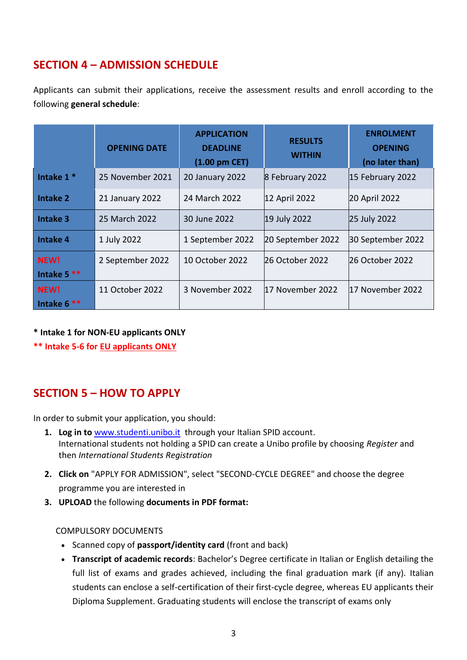# **SECTION 4 – ADMISSION SCHEDULE**

Applicants can submit their applications, receive the assessment results and enroll according to the following **general schedule**:

|                             | <b>OPENING DATE</b> | <b>APPLICATION</b><br><b>DEADLINE</b><br>$(1.00 \text{ pm }$ CET $)$ | <b>RESULTS</b><br><b>WITHIN</b> | <b>ENROLMENT</b><br><b>OPENING</b><br>(no later than) |
|-----------------------------|---------------------|----------------------------------------------------------------------|---------------------------------|-------------------------------------------------------|
| Intake $1*$                 | 25 November 2021    | 20 January 2022                                                      | 8 February 2022                 | 15 February 2022                                      |
| Intake 2                    | 21 January 2022     | 24 March 2022                                                        | 12 April 2022                   | 20 April 2022                                         |
| <b>Intake 3</b>             | 25 March 2022       | 30 June 2022                                                         | 19 July 2022                    | 25 July 2022                                          |
| <b>Intake 4</b>             | 1 July 2022         | 1 September 2022                                                     | 20 September 2022               | 30 September 2022                                     |
| <b>NEW!</b><br>Intake $5**$ | 2 September 2022    | 10 October 2022                                                      | 26 October 2022                 | l26 October 2022                                      |
| NEW!<br>Intake 6            | 11 October 2022     | 3 November 2022                                                      | 17 November 2022                | l17 November 2022                                     |

**\* Intake 1 for NON-EU applicants ONLY**

**\*\* Intake 5-6 for EU applicants ONLY**

### **SECTION 5 – HOW TO APPLY**

In order to submit your application, you should:

- **1. Log in to** www.studenti.unibo.it through your Italian SPID account. International students not holding a SPID can create a Unibo profile by choosing *Register* and then *International Students Registration*
- **2. Click on** "APPLY FOR ADMISSION", select "SECOND-CYCLE DEGREE" and choose the degree programme you are interested in
- **3. UPLOAD** the following **documents in PDF format:**

### COMPULSORY DOCUMENTS

- Scanned copy of **passport/identity card** (front and back)
- **Transcript of academic records**: Bachelor's Degree certificate in Italian or English detailing the full list of exams and grades achieved, including the final graduation mark (if any). Italian students can enclose a self-certification of their first-cycle degree, whereas EU applicants their Diploma Supplement. Graduating students will enclose the transcript of exams only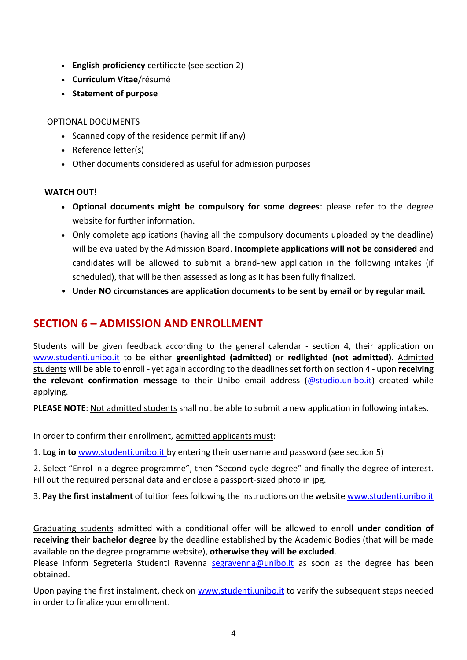- **English proficiency** certificate (see section 2)
- **Curriculum Vitae**/résumé
- **Statement of purpose**

### OPTIONAL DOCUMENTS

- Scanned copy of the residence permit (if any)
- Reference letter(s)
- Other documents considered as useful for admission purposes

### **WATCH OUT!**

- **Optional documents might be compulsory for some degrees**: please refer to the degree website for further information.
- Only complete applications (having all the compulsory documents uploaded by the deadline) will be evaluated by the Admission Board. **Incomplete applications will not be considered** and candidates will be allowed to submit a brand-new application in the following intakes (if scheduled), that will be then assessed as long as it has been fully finalized.
- **Under NO circumstances are application documents to be sent by email or by regular mail.**

### **SECTION 6 – ADMISSION AND ENROLLMENT**

Students will be given feedback according to the general calendar - section 4, their application on [www.studenti.unibo.it](http://www.studenti.unibo.it/) to be either **greenlighted (admitted)** or **redlighted (not admitted)**. Admitted students will be able to enroll - yet again according to the deadlines set forth on section 4 - upon **receiving**  the relevant confirmation message to their Unibo email address [\(@studio.unibo.it\)](mailto:name.surname@studio.unibo.it) created while applying.

**PLEASE NOTE**: Not admitted students shall not be able to submit a new application in following intakes.

In order to confirm their enrollment, admitted applicants must:

1. **Log in to** [www.studenti.unibo.it](http://www.studenti.unibo.it/) by entering their username and password (see section 5)

2. Select "Enrol in a degree programme", then "Second-cycle degree" and finally the degree of interest. Fill out the required personal data and enclose a passport-sized photo in jpg.

3. **Pay the first instalment** of tuition fees following the instructions on the websit[e www.studenti.unibo.it](http://www.studenti.unibo.it/)

Graduating students admitted with a conditional offer will be allowed to enroll **under condition of receiving their bachelor degree** by the deadline established by the Academic Bodies (that will be made available on the degree programme website), **otherwise they will be excluded**.

Please inform Segreteria Studenti Ravenna [segravenna@unibo.it](mailto:segravenna@unibo.it) as soon as the degree has been obtained.

Upon paying the first instalment, check on [www.studenti.unibo.it](http://www.studenti.unibo.it/) to verify the subsequent steps needed in order to finalize your enrollment.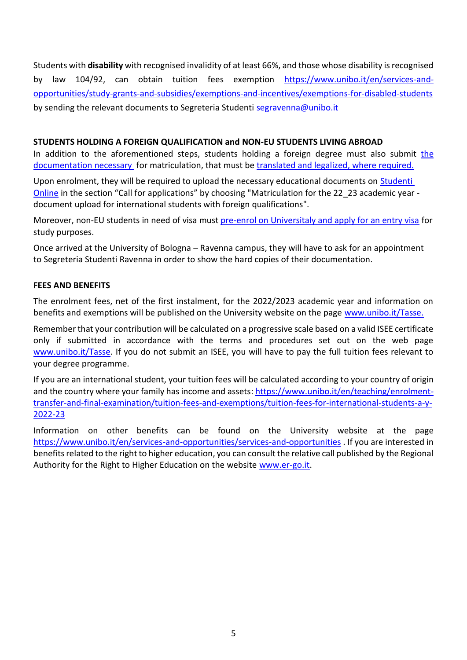Students with **disability** with recognised invalidity of at least 66%, and those whose disability is recognised by law 104/92, can obtain tuition fees exemption [https://www.unibo.it/en/services-and](https://www.unibo.it/en/services-and-opportunities/study-grants-and-subsidies/exemptions-and-incentives/exemptions-for-disabled-students)[opportunities/study-grants-and-subsidies/exemptions-and-incentives/exemptions-for-disabled-students](https://www.unibo.it/en/services-and-opportunities/study-grants-and-subsidies/exemptions-and-incentives/exemptions-for-disabled-students) by sending the relevant documents to Segreteria Studenti [segravenna@unibo.it](mailto:segravenna@unibo.it)

### **STUDENTS HOLDING A FOREIGN QUALIFICATION and NON-EU STUDENTS LIVING ABROAD**

In addition to the aforementioned steps, students holding a foreign degree must also submit [the](https://www.unibo.it/en/teaching/enrolment-transfer-and-final-examination/enrolling-in-a-second-cycle-degree-programme-foreign-qualification)  [documentation necessary](https://www.unibo.it/en/teaching/enrolment-transfer-and-final-examination/enrolling-in-a-second-cycle-degree-programme-foreign-qualification) for matriculation, that must be [translated and legalized, where required.](https://www.unibo.it/en/teaching/enrolment-transfer-and-final-examination/declaration-of-value-translation-and-legalization)

Upon enrolment, they will be required to upload the necessary educational documents on **Studenti** [Online](https://studenti.unibo.it/sol/welcome.htm?siteLanguage=en) in the section "Call for applications" by choosing "Matriculation for the 22\_23 academic year document upload for international students with foreign qualifications".

Moreover, non-EU students in need of visa must [pre-enrol on Universitaly and apply for an entry visa](https://www.unibo.it/en/teaching/enrolment-transfer-and-final-examination/visa-and-rules-for-residence-in-italy/before-leaving-home-entry-visa) for study purposes.

Once arrived at the University of Bologna – Ravenna campus, they will have to ask for an appointment to Segreteria Studenti Ravenna in order to show the hard copies of their documentation.

#### **FEES AND BENEFITS**

The enrolment fees, net of the first instalment, for the 2022/2023 academic year and information on benefits and exemptions will be published on the University website on the page [www.unibo.it/Tasse.](http://www.unibo.it/Tasse)

Remember that your contribution will be calculated on a progressive scale based on a valid ISEE certificate only if submitted in accordance with the terms and procedures set out on the web page [www.unibo.it/Tasse.](http://www.unibo.it/Tasse) If you do not submit an ISEE, you will have to pay the full tuition fees relevant to your degree programme.

If you are an international student, your tuition fees will be calculated according to your country of origin and the country where your family has income and assets[: https://www.unibo.it/en/teaching/enrolment](https://www.unibo.it/en/teaching/enrolment-transfer-and-final-examination/tuition-fees-and-exemptions/tuition-fees-for-international-students-a-y-2022-23)[transfer-and-final-examination/tuition-fees-and-exemptions/tuition-fees-for-international-students-a-y-](https://www.unibo.it/en/teaching/enrolment-transfer-and-final-examination/tuition-fees-and-exemptions/tuition-fees-for-international-students-a-y-2022-23)[2022-23](https://www.unibo.it/en/teaching/enrolment-transfer-and-final-examination/tuition-fees-and-exemptions/tuition-fees-for-international-students-a-y-2022-23)

Information on other benefits can be found on the University website at the page <https://www.unibo.it/en/services-and-opportunities/services-and-opportunities> . If you are interested in benefits related to the right to higher education, you can consult the relative call published by the Regional Authority for the Right to Higher Education on the website [www.er-go.it.](http://www.er-go.it/)